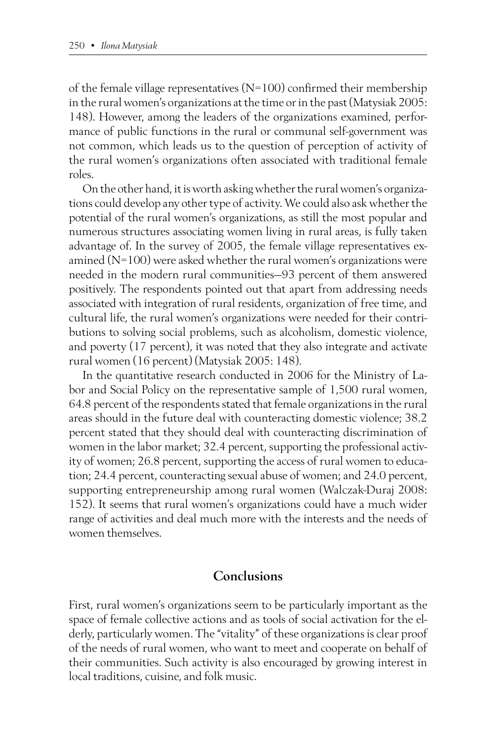of the female village representatives  $(N=100)$  confirmed their membership in the rural women's organizations at the time or in the past (Matysiak 2005: 148). However, among the leaders of the organizations examined, performance of public functions in the rural or communal self-government was not common, which leads us to the question of perception of activity of the rural women's organizations often associated with traditional female roles.

On the other hand, it is worth asking whether the rural women's organizations could develop any other type of activity. We could also ask whether the potential of the rural women's organizations, as still the most popular and numerous structures associating women living in rural areas, is fully taken advantage of. In the survey of 2005, the female village representatives examined (N=100) were asked whether the rural women's organizations were needed in the modern rural communities—93 percent of them answered positively. The respondents pointed out that apart from addressing needs associated with integration of rural residents, organization of free time, and cultural life, the rural women's organizations were needed for their contributions to solving social problems, such as alcoholism, domestic violence, and poverty (17 percent), it was noted that they also integrate and activate rural women (16 percent) (Matysiak 2005: 148).

In the quantitative research conducted in 2006 for the Ministry of Labor and Social Policy on the representative sample of 1,500 rural women, 64.8 percent of the respondents stated that female organizations in the rural areas should in the future deal with counteracting domestic violence; 38.2 percent stated that they should deal with counteracting discrimination of women in the labor market; 32.4 percent, supporting the professional activity of women; 26.8 percent, supporting the access of rural women to education; 24.4 percent, counteracting sexual abuse of women; and 24.0 percent, supporting entrepreneurship among rural women (Walczak-Duraj 2008: 152). It seems that rural women's organizations could have a much wider range of activities and deal much more with the interests and the needs of women themselves.

## Conclusions

First, rural women's organizations seem to be particularly important as the space of female collective actions and as tools of social activation for the elderly, particularly women. The "vitality" of these organizations is clear proof of the needs of rural women, who want to meet and cooperate on behalf of their communities. Such activity is also encouraged by growing interest in local traditions, cuisine, and folk music.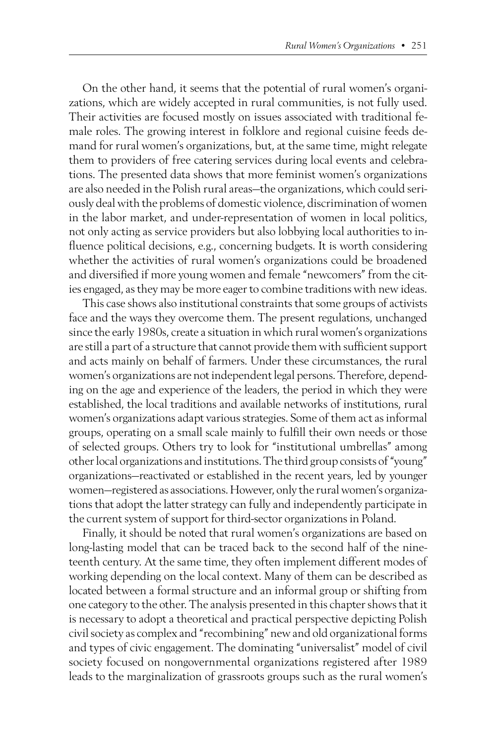On the other hand, it seems that the potential of rural women's organizations, which are widely accepted in rural communities, is not fully used. Their activities are focused mostly on issues associated with traditional female roles. The growing interest in folklore and regional cuisine feeds demand for rural women's organizations, but, at the same time, might relegate them to providers of free catering services during local events and celebrations. The presented data shows that more feminist women's organizations are also needed in the Polish rural areas—the organizations, which could seriously deal with the problems of domestic violence, discrimination of women in the labor market, and under-representation of women in local politics, not only acting as service providers but also lobbying local authorities to influence political decisions, e.g., concerning budgets. It is worth considering whether the activities of rural women's organizations could be broadened and diversified if more young women and female "newcomers" from the cities engaged, as they may be more eager to combine traditions with new ideas.

This case shows also institutional constraints that some groups of activists face and the ways they overcome them. The present regulations, unchanged since the early 1980s, create a situation in which rural women's organizations are still a part of a structure that cannot provide them with sufficient support and acts mainly on behalf of farmers. Under these circumstances, the rural women's organizations are not independent legal persons. Therefore, depending on the age and experience of the leaders, the period in which they were established, the local traditions and available networks of institutions, rural women's organizations adapt various strategies. Some of them act as informal groups, operating on a small scale mainly to fulfill their own needs or those of selected groups. Others try to look for "institutional umbrellas" among other local organizations and institutions. The third group consists of "young" organizations—reactivated or established in the recent years, led by younger women—registered as associations. However, only the rural women's organizations that adopt the latter strategy can fully and independently participate in the current system of support for third-sector organizations in Poland.

Finally, it should be noted that rural women's organizations are based on long-lasting model that can be traced back to the second half of the nineteenth century. At the same time, they often implement different modes of working depending on the local context. Many of them can be described as located between a formal structure and an informal group or shifting from one category to the other. The analysis presented in this chapter shows that it is necessary to adopt a theoretical and practical perspective depicting Polish civil society as complex and "recombining" new and old organizational forms and types of civic engagement. The dominating "universalist" model of civil society focused on nongovernmental organizations registered after 1989 leads to the marginalization of grassroots groups such as the rural women's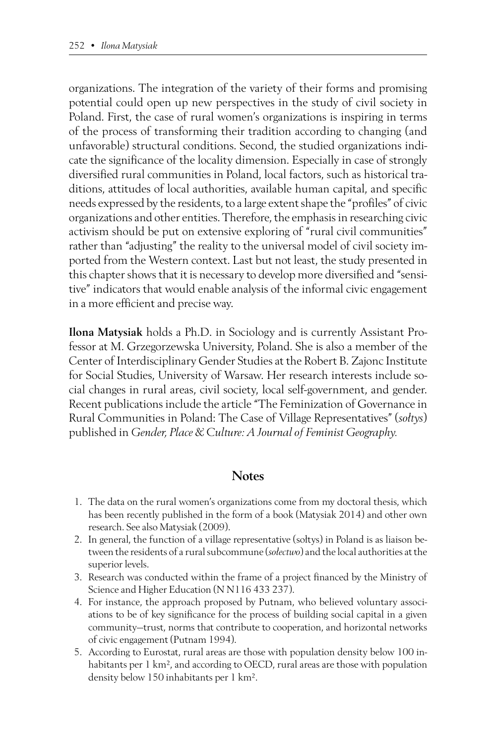organizations. The integration of the variety of their forms and promising potential could open up new perspectives in the study of civil society in Poland. First, the case of rural women's organizations is inspiring in terms of the process of transforming their tradition according to changing (and unfavorable) structural conditions. Second, the studied organizations indicate the significance of the locality dimension. Especially in case of strongly diversified rural communities in Poland, local factors, such as historical traditions, attitudes of local authorities, available human capital, and specific needs expressed by the residents, to a large extent shape the "profiles" of civic organizations and other entities. Therefore, the emphasis in researching civic activism should be put on extensive exploring of "rural civil communities" rather than "adjusting" the reality to the universal model of civil society imported from the Western context. Last but not least, the study presented in this chapter shows that it is necessary to develop more diversified and "sensitive" indicators that would enable analysis of the informal civic engagement in a more efficient and precise way.

Ilona Matysiak holds a Ph.D. in Sociology and is currently Assistant Professor at M. Grzegorzewska University, Poland. She is also a member of the Center of Interdisciplinary Gender Studies at the Robert B. Zajonc Institute for Social Studies, University of Warsaw. Her research interests include social changes in rural areas, civil society, local self-government, and gender. Recent publications include the article "The Feminization of Governance in Rural Communities in Poland: The Case of Village Representatives" (*so*ł*tys*) published in *Gender, Place & Culture: A Journal of Feminist Geography.*

## Notes

- 1. The data on the rural women's organizations come from my doctoral thesis, which has been recently published in the form of a book (Matysiak 2014) and other own research. See also Matysiak (2009).
- 2. In general, the function of a village representative (sołtys) in Poland is as liaison between the residents of a rural subcommune (*so*ł*ectwo*) and the local authorities at the superior levels.
- 3. Research was conducted within the frame of a project financed by the Ministry of Science and Higher Education (N N116 433 237).
- 4. For instance, the approach proposed by Putnam, who believed voluntary associations to be of key significance for the process of building social capital in a given community—trust, norms that contribute to cooperation, and horizontal networks of civic engagement (Putnam 1994).
- 5. According to Eurostat, rural areas are those with population density below 100 inhabitants per 1 km², and according to OECD, rural areas are those with population density below 150 inhabitants per 1 km².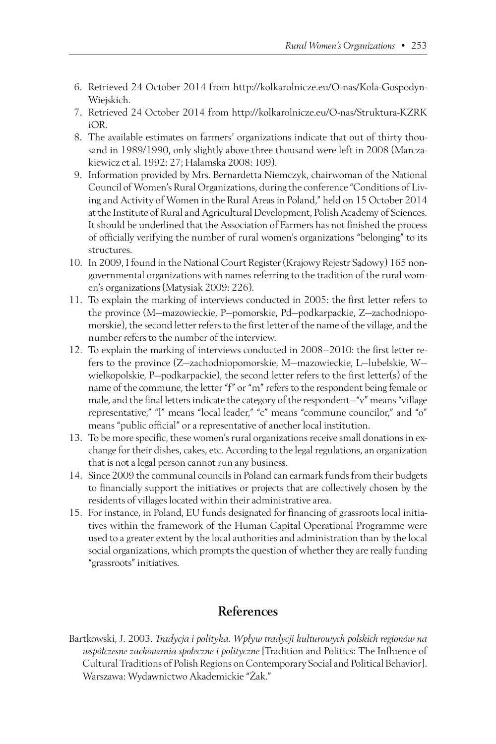- 6. Retrieved 24 October 2014 from http://kolkarolnicze.eu/O-nas/Kola-Gospodyn-Wiejskich.
- 7. Retrieved 24 October 2014 from http://kolkarolnicze.eu/O-nas/Struktura-KZRK iOR.
- 8. The available estimates on farmers' organizations indicate that out of thirty thousand in 1989/1990, only slightly above three thousand were left in 2008 (Marczakiewicz et al. 1992: 27; Halamska 2008: 109).
- 9. Information provided by Mrs. Bernardetta Niemczyk, chairwoman of the National Council of Women's Rural Organizations, during the conference "Conditions of Living and Activity of Women in the Rural Areas in Poland," held on 15 October 2014 at the Institute of Rural and Agricultural Development, Polish Academy of Sciences. It should be underlined that the Association of Farmers has not finished the process of officially verifying the number of rural women's organizations "belonging" to its structures.
- 10. In 2009, I found in the National Court Register (Krajowy Rejestr Sądowy) 165 nongovernmental organizations with names referring to the tradition of the rural women's organizations (Matysiak 2009: 226).
- 11. To explain the marking of interviews conducted in 2005: the first letter refers to the province (M—mazowieckie, P—pomorskie, Pd—podkarpackie, Z—zachodniopomorskie), the second letter refers to the first letter of the name of the village, and the number refers to the number of the interview.
- 12. To explain the marking of interviews conducted in 2008–2010: the first letter refers to the province (Z—zachodniopomorskie, M—mazowieckie, L—lubelskie, W wielkopolskie, P—podkarpackie), the second letter refers to the first letter(s) of the name of the commune, the letter "f" or "m" refers to the respondent being female or male, and the final letters indicate the category of the respondent—"v" means "village representative," "l" means "local leader," "c" means "commune councilor," and "o" means "public official" or a representative of another local institution.
- 13. To be more specific, these women's rural organizations receive small donations in exchange for their dishes, cakes, etc. According to the legal regulations, an organization that is not a legal person cannot run any business.
- 14. Since 2009 the communal councils in Poland can earmark funds from their budgets to financially support the initiatives or projects that are collectively chosen by the residents of villages located within their administrative area.
- 15. For instance, in Poland, EU funds designated for financing of grassroots local initiatives within the framework of the Human Capital Operational Programme were used to a greater extent by the local authorities and administration than by the local social organizations, which prompts the question of whether they are really funding "grassroots" initiatives.

## References

Bartkowski, J. 2003. *Tradycja i polityka. Wp*ł*yw tradycji kulturowych polskich regionów na współczesne zachowania społeczne i polityczne* [Tradition and Politics: The Influence of Cultural Traditions of Polish Regions on Contemporary Social and Political Behavior]. Warszawa: Wydawnictwo Akademickie "Żak."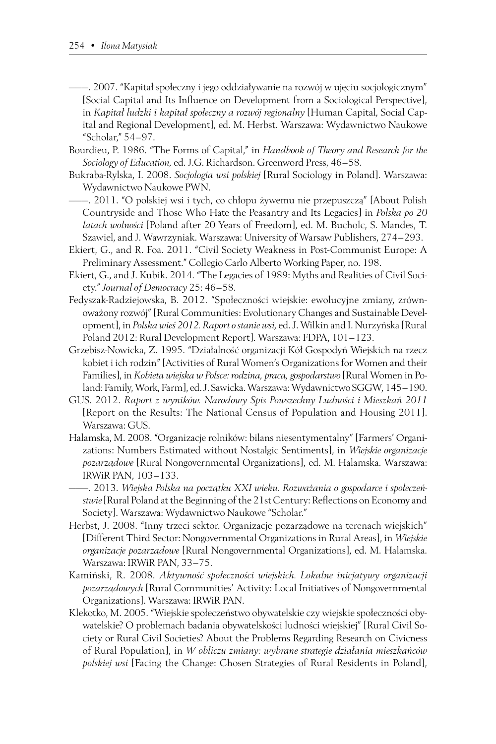- ———. 2007. "Kapitał społeczny i jego oddziaływanie na rozwój w ujęciu socjologicznym" [Social Capital and Its Influence on Development from a Sociological Perspective], in *Kapita*ł *ludzki i kapita*ł *spo*ł*eczny a rozwój regionalny* [Human Capital, Social Capital and Regional Development], ed. M. Herbst. Warszawa: Wydawnictwo Naukowe "Scholar," 54–97.
- Bourdieu, P. 1986. "The Forms of Capital," in *Handbook of Theory and Research for the Sociology of Education,* ed. J.G. Richardson. Greenword Press, 46–58.
- Bukraba-Rylska, I. 2008. *Socjologia wsi polskiej* [Rural Sociology in Poland]. Warszawa: Wydawnictwo Naukowe PWN.
- ———. 2011. "O polskiej wsi i tych, co chłopu żywemu nie przepuszczą" [About Polish Countryside and Those Who Hate the Peasantry and Its Legacies] in *Polska po 20 latach wolno*ś*ci* [Poland after 20 Years of Freedom], ed. M. Bucholc, S. Mandes, T. Szawiel, and J. Wawrzyniak. Warszawa: University of Warsaw Publishers, 274–293.
- Ekiert, G., and R. Foa. 2011. "Civil Society Weakness in Post-Communist Europe: A Preliminary Assessment." Collegio Carlo Alberto Working Paper, no. 198.
- Ekiert, G., and J. Kubik. 2014. "The Legacies of 1989: Myths and Realities of Civil Society." *Journal of Democracy* 25: 46–58.
- Fedyszak-Radziejowska, B. 2012. "Społeczności wiejskie: ewolucyjne zmiany, zrównoważony rozwój" [Rural Communities: Evolutionary Changes and Sustainable Development], in *Polska wie*ś *2012. Raport o stanie wsi,* ed. J. Wilkin and I. Nurzyńska [Rural Poland 2012: Rural Development Report]. Warszawa: FDPA, 101–123.
- Grzebisz-Nowicka, Z. 1995. "Działalność organizacji Kół Gospodyń Wiejskich na rzecz kobiet i ich rodzin" [Activities of Rural Women's Organizations for Women and their Families], in *Kobieta wiejska w Polsce: rodzina, praca, gospodarstwo* [Rural Women in Poland: Family, Work, Farm], ed. J. Sawicka. Warszawa: Wydawnictwo SGGW, 145–190.
- GUS. 2012. *Raport z wyników. Narodowy Spis Powszechny Ludno*ś*ci i Mieszka*ń *2011*  [Report on the Results: The National Census of Population and Housing 2011]. Warszawa: GUS.
- Halamska, M. 2008. "Organizacje rolników: bilans niesentymentalny" [Farmers' Organizations: Numbers Estimated without Nostalgic Sentiments], in *Wiejskie organizacje pozarz*ą*dowe* [Rural Nongovernmental Organizations], ed. M. Halamska. Warszawa: IRWiR PAN, 103–133.
- ———. 2013. *Wiejska Polska na pocz*ą*tku XXI wieku. Rozwa*ż*ania o gospodarce i spo*ł*ecze*ń*stwie* [Rural Poland at the Beginning of the 21st Century: Reflections on Economy and Society]. Warszawa: Wydawnictwo Naukowe "Scholar."
- Herbst, J. 2008. "Inny trzeci sektor. Organizacje pozarządowe na terenach wiejskich" [Diff erent Third Sector: Nongovernmental Organizations in Rural Areas], in *Wiejskie organizacje pozarz*ą*dowe* [Rural Nongovernmental Organizations], ed. M. Halamska. Warszawa: IRWiR PAN, 33–75.
- Kamiński, R. 2008. *Aktywno*ść *spo*ł*eczno*ś*ci wiejskich. Lokalne inicjatywy organizacji pozarz*ą*dowych* [Rural Communities' Activity: Local Initiatives of Nongovernmental Organizations]. Warszawa: IRWiR PAN.
- Klekotko, M. 2005. "Wiejskie społeczeństwo obywatelskie czy wiejskie społeczności obywatelskie? O problemach badania obywatelskości ludności wiejskiej" [Rural Civil Society or Rural Civil Societies? About the Problems Regarding Research on Civicness of Rural Population], in *W obliczu zmiany: wybrane strategie dzia*ł*ania mieszka*ń*ców polskiej wsi* [Facing the Change: Chosen Strategies of Rural Residents in Poland],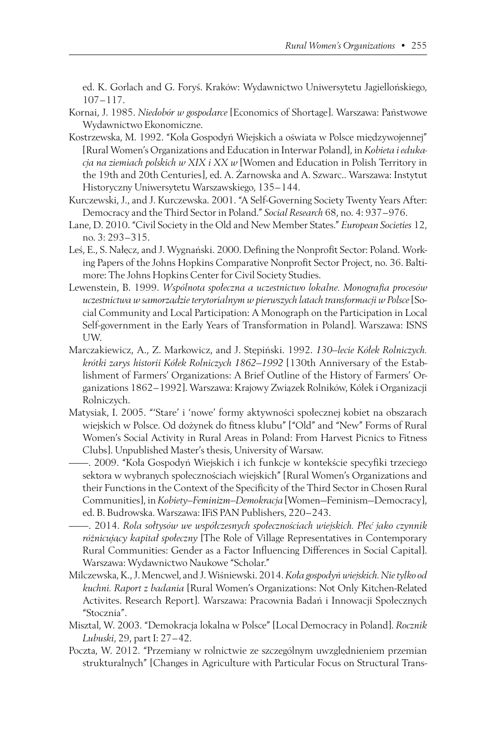ed. K. Gorlach and G. Foryś. Kraków: Wydawnictwo Uniwersytetu Jagiellońskiego, 107–117.

- Kornai, J. 1985. *Niedobór w gospodarce* [Economics of Shortage]. Warszawa: Państwowe Wydawnictwo Ekonomiczne.
- Kostrzewska, M. 1992. "Koła Gospodyń Wiejskich a oświata w Polsce międzywojennej" [Rural Women's Organizations and Education in Interwar Poland], in *Kobieta i edukacja na ziemiach polskich w XIX i XX w* [Women and Education in Polish Territory in the 19th and 20th Centuries], ed. A. Żarnowska and A. Szwarc.. Warszawa: Instytut Historyczny Uniwersytetu Warszawskiego, 135–144.
- Kurczewski, J., and J. Kurczewska. 2001. "A Self-Governing Society Twenty Years After: Democracy and the Third Sector in Poland." *Social Research* 68, no. 4: 937–976.
- Lane, D. 2010. "Civil Society in the Old and New Member States." *European Societies* 12, no. 3: 293–315.
- Leś, E., S. Nałęcz, and J. Wygnański. 2000. Defining the Nonprofit Sector: Poland. Working Papers of the Johns Hopkins Comparative Nonprofit Sector Project, no. 36. Baltimore: The Johns Hopkins Center for Civil Society Studies.
- Lewenstein, B. 1999. *Wspólnota społeczna a uczestnictwo lokalne. Monografia procesów uczestnictwa w samorz*ą*dzie terytorialnym w pierwszych latach transformacji w Polsce* [Social Community and Local Participation: A Monograph on the Participation in Local Self-government in the Early Years of Transformation in Poland]. Warszawa: ISNS UW.
- Marczakiewicz, A., Z. Markowicz, and J. Stępiński. 1992. *130—lecie Kó*ł*ek Rolniczych. krótki zarys historii Kó*ł*ek Rolniczych 1862—1992* [130th Anniversary of the Establishment of Farmers' Organizations: A Brief Outline of the History of Farmers' Organizations 1862–1992]. Warszawa: Krajowy Związek Rolników, Kółek i Organizacji Rolniczych.
- Matysiak, I. 2005. "'Stare' i 'nowe' formy aktywności społecznej kobiet na obszarach wiejskich w Polsce. Od dożynek do fitness klubu" ["Old" and "New" Forms of Rural Women's Social Activity in Rural Areas in Poland: From Harvest Picnics to Fitness Clubs]. Unpublished Master's thesis, University of Warsaw.
	- —. 2009. "Koła Gospodyń Wiejskich i ich funkcje w kontekście specyfiki trzeciego sektora w wybranych społecznościach wiejskich" [Rural Women's Organizations and their Functions in the Context of the Specificity of the Third Sector in Chosen Rural Communities], in *Kobiety—Feminizm—Demokracja* [Women—Feminism—Democracy], ed. B. Budrowska. Warszawa: IFiS PAN Publishers, 220–243.
- ———. 2014. *Rola so*ł*tysów we wspó*ł*czesnych spo*ł*eczno*ś*ciach wiejskich. P*ł*e*ć *jako czynnik ró*ż*nicuj*ą*cy kapita*ł *spo*ł*eczny* [The Role of Village Representatives in Contemporary Rural Communities: Gender as a Factor Influencing Differences in Social Capital. Warszawa: Wydawnictwo Naukowe "Scholar."
- Milczewska, K., J. Mencwel, and J. Wiśniewski. 2014. *Ko*ł*a gospody*ń *wiejskich. Nie tylko od kuchni. Raport z badania* [Rural Women's Organizations: Not Only Kitchen-Related Activites. Research Report]. Warszawa: Pracownia Badań i Innowacji Społecznych "Stocznia".
- Misztal, W. 2003. "Demokracja lokalna w Polsce" [Local Democracy in Poland]. *Rocznik Lubuski*, 29, part I: 27–42.
- Poczta, W. 2012. "Przemiany w rolnictwie ze szczególnym uwzględnieniem przemian strukturalnych" [Changes in Agriculture with Particular Focus on Structural Trans-